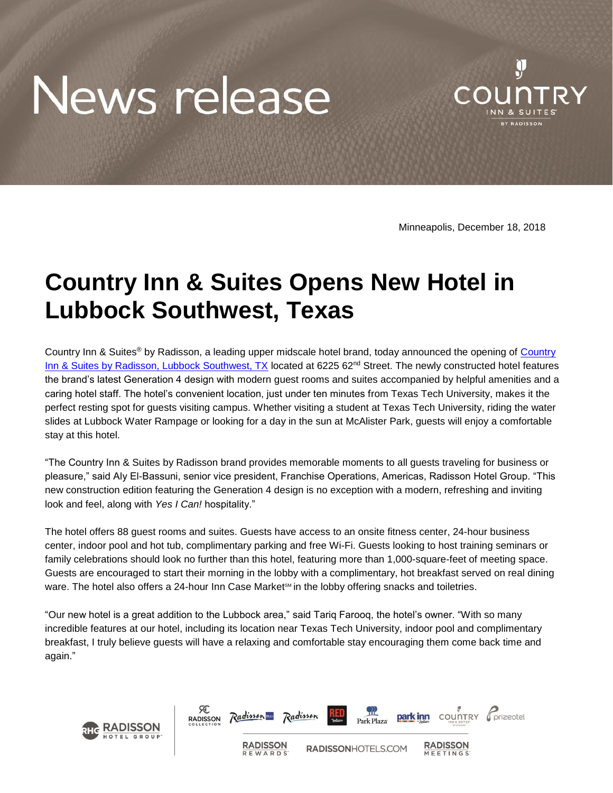## News release



Minneapolis, December 18, 2018

## **Country Inn & Suites Opens New Hotel in Lubbock Southwest, Texas**

Country Inn & Suites<sup>®</sup> by Radisson, a leading upper midscale hotel brand, today announced the opening of Country [Inn & Suites by Radisson, Lubbock Southwest, TX](https://www.countryinns.com/lubbock-hotel-tx-79424/usalstx) located at 6225 62<sup>nd</sup> Street. The newly constructed hotel features the brand's latest Generation 4 design with modern guest rooms and suites accompanied by helpful amenities and a caring hotel staff. The hotel's convenient location, just under ten minutes from Texas Tech University, makes it the perfect resting spot for guests visiting campus. Whether visiting a student at Texas Tech University, riding the water slides at Lubbock Water Rampage or looking for a day in the sun at McAlister Park, guests will enjoy a comfortable stay at this hotel.

"The Country Inn & Suites by Radisson brand provides memorable moments to all guests traveling for business or pleasure," said Aly El-Bassuni, senior vice president, Franchise Operations, Americas, Radisson Hotel Group. "This new construction edition featuring the Generation 4 design is no exception with a modern, refreshing and inviting look and feel, along with *Yes I Can!* hospitality."

The hotel offers 88 guest rooms and suites. Guests have access to an onsite fitness center, 24-hour business center, indoor pool and hot tub, complimentary parking and free Wi-Fi. Guests looking to host training seminars or family celebrations should look no further than this hotel, featuring more than 1,000-square-feet of meeting space. Guests are encouraged to start their morning in the lobby with a complimentary, hot breakfast served on real dining ware. The hotel also offers a 24-hour Inn Case Market $\mathfrak{m}$  in the lobby offering snacks and toiletries.

"Our new hotel is a great addition to the Lubbock area," said Tariq Farooq, the hotel's owner. "With so many incredible features at our hotel, including its location near Texas Tech University, indoor pool and complimentary breakfast, I truly believe guests will have a relaxing and comfortable stay encouraging them come back time and again."